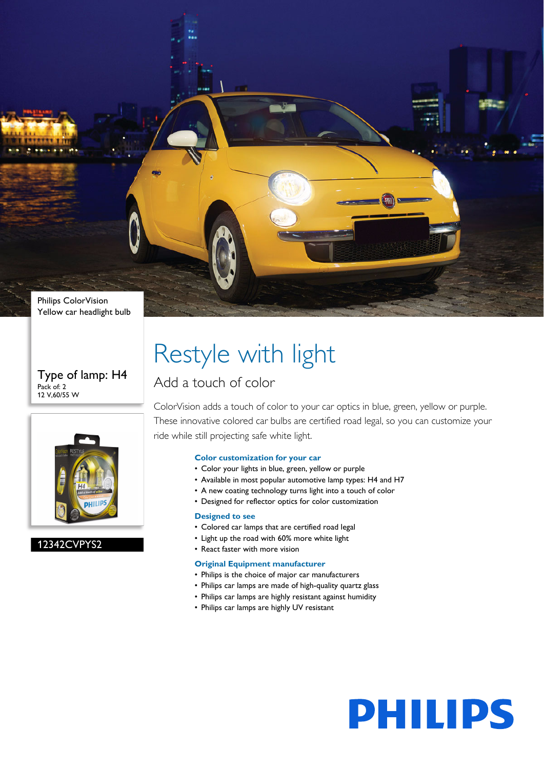

#### Type of lamp: H4 Pack of: 2 12 V,60/55 W



#### 12342CVPYS2

## Restyle with light

#### Add a touch of color

ColorVision adds a touch of color to your car optics in blue, green, yellow or purple. These innovative colored car bulbs are certified road legal, so you can customize your ride while still projecting safe white light.

#### **Color customization for your car**

- Color your lights in blue, green, yellow or purple
- Available in most popular automotive lamp types: H4 and H7
- A new coating technology turns light into a touch of color
- Designed for reflector optics for color customization

#### **Designed to see**

- Colored car lamps that are certified road legal
- Light up the road with 60% more white light
- React faster with more vision

#### **Original Equipment manufacturer**

- Philips is the choice of major car manufacturers
- Philips car lamps are made of high-quality quartz glass
- Philips car lamps are highly resistant against humidity
- Philips car lamps are highly UV resistant

# **PHILIPS**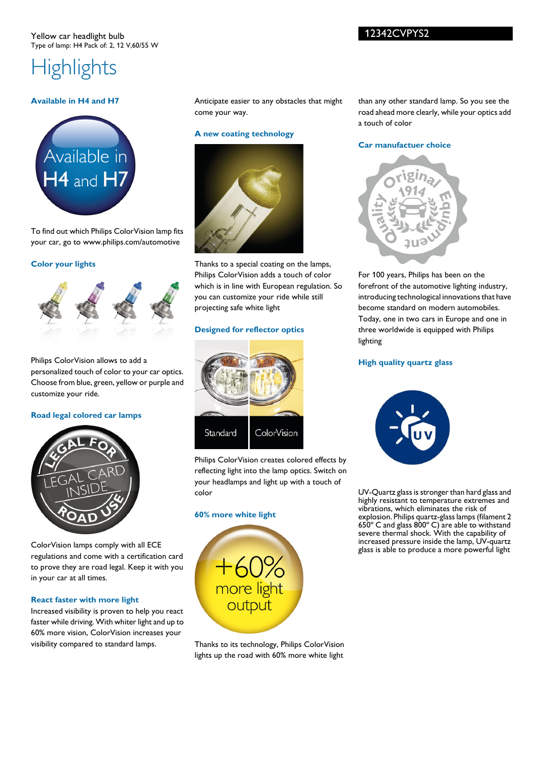## **Highlights**

#### **Available in H4 and H7**



To find out which Philips ColorVision lamp fits your car, go to www.philips.com/automotive

#### **Color your lights**



Philips ColorVision allows to add a personalized touch of color to your car optics. Choose from blue, green, yellow or purple and customize your ride.

#### **Road legal colored car lamps**



ColorVision lamps comply with all ECE regulations and come with a certification card to prove they are road legal. Keep it with you in your car at all times.

#### **React faster with more light**

Increased visibility is proven to help you react faster while driving. With whiter light and up to 60% more vision, ColorVision increases your visibility compared to standard lamps.

Anticipate easier to any obstacles that might come your way.

#### **A new coating technology**



Thanks to a special coating on the lamps, Philips ColorVision adds a touch of color which is in line with European regulation. So you can customize your ride while still projecting safe white light

#### **Designed for reflector optics**



Philips ColorVision creates colored effects by reflecting light into the lamp optics. Switch on your headlamps and light up with a touch of color

#### **60% more white light**



Thanks to its technology, Philips ColorVision lights up the road with 60% more white light

than any other standard lamp. So you see the road ahead more clearly, while your optics add a touch of color

#### **Car manufactuer choice**



For 100 years, Philips has been on the forefront of the automotive lighting industry, introducing technological innovations that have become standard on modern automobiles. Today, one in two cars in Europe and one in three worldwide is equipped with Philips lighting

#### **High quality quartz glass**



UV-Quartz glass is stronger than hard glass and highly resistant to temperature extremes and vibrations, which eliminates the risk of explosion. Philips quartz-glass lamps (filament 2 650º C and glass 800º C) are able to withstand severe thermal shock. With the capability of increased pressure inside the lamp, UV-quartz glass is able to produce a more powerful light